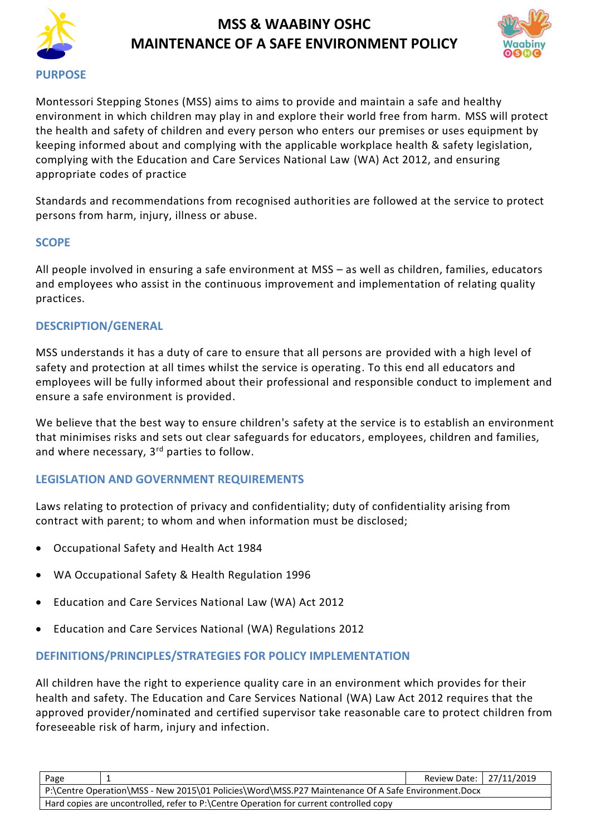



Montessori Stepping Stones (MSS) aims to aims to provide and maintain a safe and healthy environment in which children may play in and explore their world free from harm. MSS will protect the health and safety of children and every person who enters our premises or uses equipment by keeping informed about and complying with the applicable workplace health & safety legislation, complying with the Education and Care Services National Law (WA) Act 2012, and ensuring appropriate codes of practice

Standards and recommendations from recognised authorities are followed at the service to protect persons from harm, injury, illness or abuse.

# **SCOPE**

All people involved in ensuring a safe environment at MSS – as well as children, families, educators and employees who assist in the continuous improvement and implementation of relating quality practices.

# **DESCRIPTION/GENERAL**

MSS understands it has a duty of care to ensure that all persons are provided with a high level of safety and protection at all times whilst the service is operating. To this end all educators and employees will be fully informed about their professional and responsible conduct to implement and ensure a safe environment is provided.

We believe that the best way to ensure children's safety at the service is to establish an environment that minimises risks and sets out clear safeguards for educators, employees, children and families, and where necessary, 3<sup>rd</sup> parties to follow.

# **LEGISLATION AND GOVERNMENT REQUIREMENTS**

Laws relating to protection of privacy and confidentiality; duty of confidentiality arising from contract with parent; to whom and when information must be disclosed;

- Occupational Safety and Health Act 1984
- WA Occupational Safety & Health Regulation 1996
- Education and Care Services National Law (WA) Act 2012
- Education and Care Services National (WA) Regulations 2012

# **DEFINITIONS/PRINCIPLES/STRATEGIES FOR POLICY IMPLEMENTATION**

All children have the right to experience quality care in an environment which provides for their health and safety. The Education and Care Services National (WA) Law Act 2012 requires that the approved provider/nominated and certified supervisor take reasonable care to protect children from foreseeable risk of harm, injury and infection.

| Page                                                                                               |  | Review Date: 27/11/2019 |  |
|----------------------------------------------------------------------------------------------------|--|-------------------------|--|
| P:\Centre Operation\MSS - New 2015\01 Policies\Word\MSS.P27 Maintenance Of A Safe Environment.Docx |  |                         |  |
| Hard copies are uncontrolled, refer to P:\Centre Operation for current controlled copy             |  |                         |  |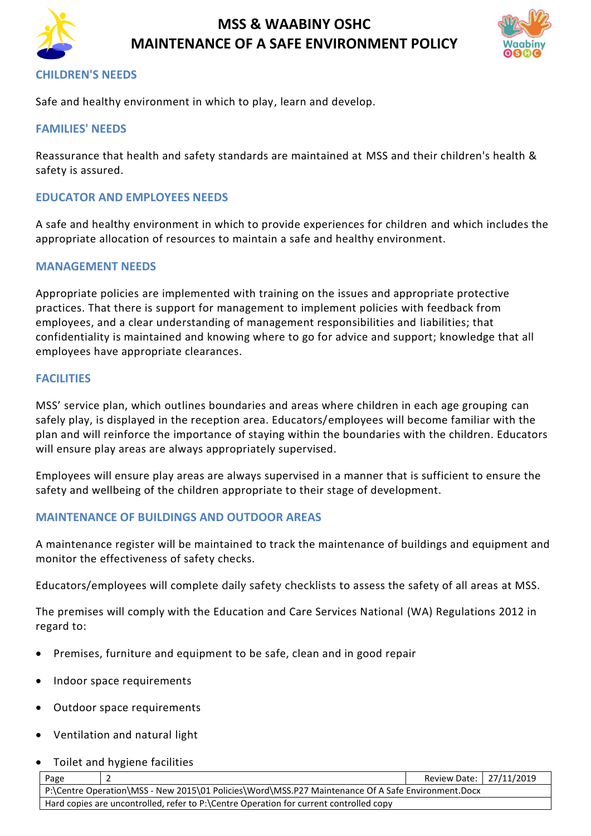



### **CHILDREN'S NEEDS**

Safe and healthy environment in which to play, learn and develop.

#### **FAMILIES' NEEDS**

Reassurance that health and safety standards are maintained at MSS and their children's health & safety is assured.

### **EDUCATOR AND EMPLOYEES NEEDS**

A safe and healthy environment in which to provide experiences for children and which includes the appropriate allocation of resources to maintain a safe and healthy environment.

#### **MANAGEMENT NEEDS**

Appropriate policies are implemented with training on the issues and appropriate protective practices. That there is support for management to implement policies with feedback from employees, and a clear understanding of management responsibilities and liabilities; that confidentiality is maintained and knowing where to go for advice and support; knowledge that all employees have appropriate clearances.

#### **FACILITIES**

MSS' service plan, which outlines boundaries and areas where children in each age grouping can safely play, is displayed in the reception area. Educators/employees will become familiar with the plan and will reinforce the importance of staying within the boundaries with the children. Educators will ensure play areas are always appropriately supervised.

Employees will ensure play areas are always supervised in a manner that is sufficient to ensure the safety and wellbeing of the children appropriate to their stage of development.

#### **MAINTENANCE OF BUILDINGS AND OUTDOOR AREAS**

A maintenance register will be maintained to track the maintenance of buildings and equipment and monitor the effectiveness of safety checks.

Educators/employees will complete daily safety checklists to assess the safety of all areas at MSS.

The premises will comply with the Education and Care Services National (WA) Regulations 2012 in regard to:

- Premises, furniture and equipment to be safe, clean and in good repair
- Indoor space requirements
- Outdoor space requirements
- Ventilation and natural light
- Toilet and hygiene facilities

| Page                                                                                               |  | Review Date: 27/11/2019 |  |
|----------------------------------------------------------------------------------------------------|--|-------------------------|--|
| P:\Centre Operation\MSS - New 2015\01 Policies\Word\MSS.P27 Maintenance Of A Safe Environment.Docx |  |                         |  |
| Hard copies are uncontrolled, refer to P:\Centre Operation for current controlled copy             |  |                         |  |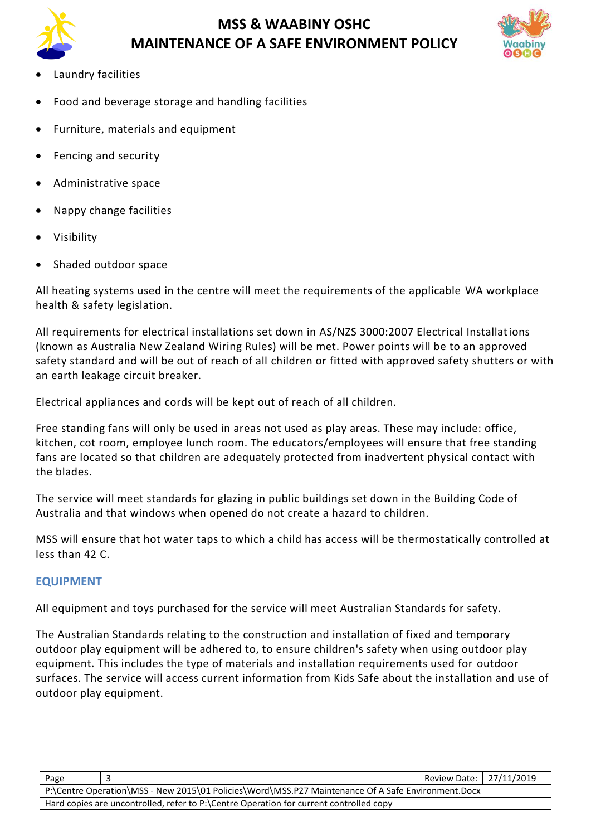



- Laundry facilities
- Food and beverage storage and handling facilities
- Furniture, materials and equipment
- Fencing and security
- Administrative space
- Nappy change facilities
- Visibility
- Shaded outdoor space

All heating systems used in the centre will meet the requirements of the applicable WA workplace health & safety legislation.

All requirements for electrical installations set down in AS/NZS 3000:2007 Electrical Installations (known as Australia New Zealand Wiring Rules) will be met. Power points will be to an approved safety standard and will be out of reach of all children or fitted with approved safety shutters or with an earth leakage circuit breaker.

Electrical appliances and cords will be kept out of reach of all children.

Free standing fans will only be used in areas not used as play areas. These may include: office, kitchen, cot room, employee lunch room. The educators/employees will ensure that free standing fans are located so that children are adequately protected from inadvertent physical contact with the blades.

The service will meet standards for glazing in public buildings set down in the Building Code of Australia and that windows when opened do not create a hazard to children.

MSS will ensure that hot water taps to which a child has access will be thermostatically controlled at less than 42 C.

# **EQUIPMENT**

All equipment and toys purchased for the service will meet Australian Standards for safety.

The Australian Standards relating to the construction and installation of fixed and temporary outdoor play equipment will be adhered to, to ensure children's safety when using outdoor play equipment. This includes the type of materials and installation requirements used for outdoor surfaces. The service will access current information from Kids Safe about the installation and use of outdoor play equipment.

| Page                                                                                               |  | Review Date: 27/11/2019 |  |
|----------------------------------------------------------------------------------------------------|--|-------------------------|--|
| P:\Centre Operation\MSS - New 2015\01 Policies\Word\MSS.P27 Maintenance Of A Safe Environment.Docx |  |                         |  |
| Hard copies are uncontrolled, refer to P:\Centre Operation for current controlled copy             |  |                         |  |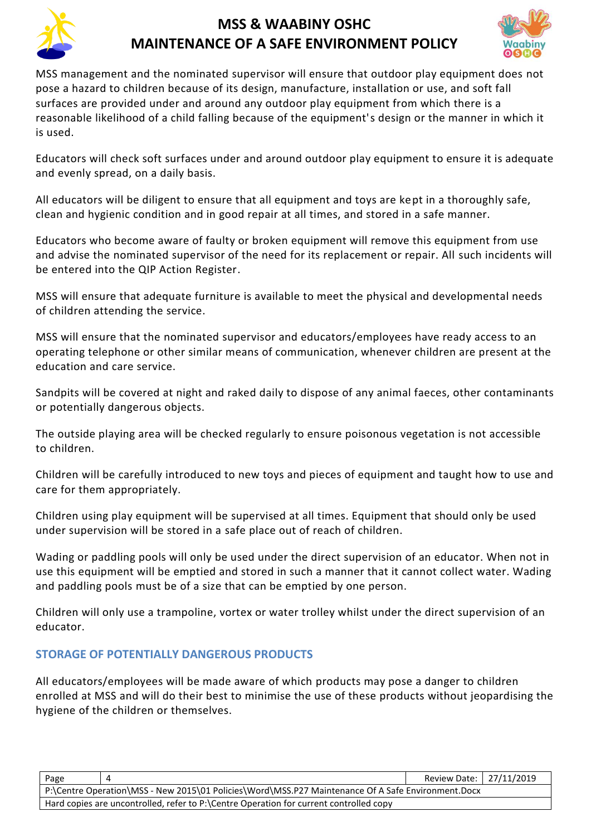



MSS management and the nominated supervisor will ensure that outdoor play equipment does not pose a hazard to children because of its design, manufacture, installation or use, and soft fall surfaces are provided under and around any outdoor play equipment from which there is a reasonable likelihood of a child falling because of the equipment's design or the manner in which it is used.

Educators will check soft surfaces under and around outdoor play equipment to ensure it is adequate and evenly spread, on a daily basis.

All educators will be diligent to ensure that all equipment and toys are kept in a thoroughly safe, clean and hygienic condition and in good repair at all times, and stored in a safe manner.

Educators who become aware of faulty or broken equipment will remove this equipment from use and advise the nominated supervisor of the need for its replacement or repair. All such incidents will be entered into the QIP Action Register.

MSS will ensure that adequate furniture is available to meet the physical and developmental needs of children attending the service.

MSS will ensure that the nominated supervisor and educators/employees have ready access to an operating telephone or other similar means of communication, whenever children are present at the education and care service.

Sandpits will be covered at night and raked daily to dispose of any animal faeces, other contaminants or potentially dangerous objects.

The outside playing area will be checked regularly to ensure poisonous vegetation is not accessible to children.

Children will be carefully introduced to new toys and pieces of equipment and taught how to use and care for them appropriately.

Children using play equipment will be supervised at all times. Equipment that should only be used under supervision will be stored in a safe place out of reach of children.

Wading or paddling pools will only be used under the direct supervision of an educator. When not in use this equipment will be emptied and stored in such a manner that it cannot collect water. Wading and paddling pools must be of a size that can be emptied by one person.

Children will only use a trampoline, vortex or water trolley whilst under the direct supervision of an educator.

# **STORAGE OF POTENTIALLY DANGEROUS PRODUCTS**

All educators/employees will be made aware of which products may pose a danger to children enrolled at MSS and will do their best to minimise the use of these products without jeopardising the hygiene of the children or themselves.

| Page                                                                                               |  | Review Date: 27/11/2019 |  |
|----------------------------------------------------------------------------------------------------|--|-------------------------|--|
| P:\Centre Operation\MSS - New 2015\01 Policies\Word\MSS.P27 Maintenance Of A Safe Environment.Docx |  |                         |  |
| Hard copies are uncontrolled, refer to P:\Centre Operation for current controlled copy             |  |                         |  |